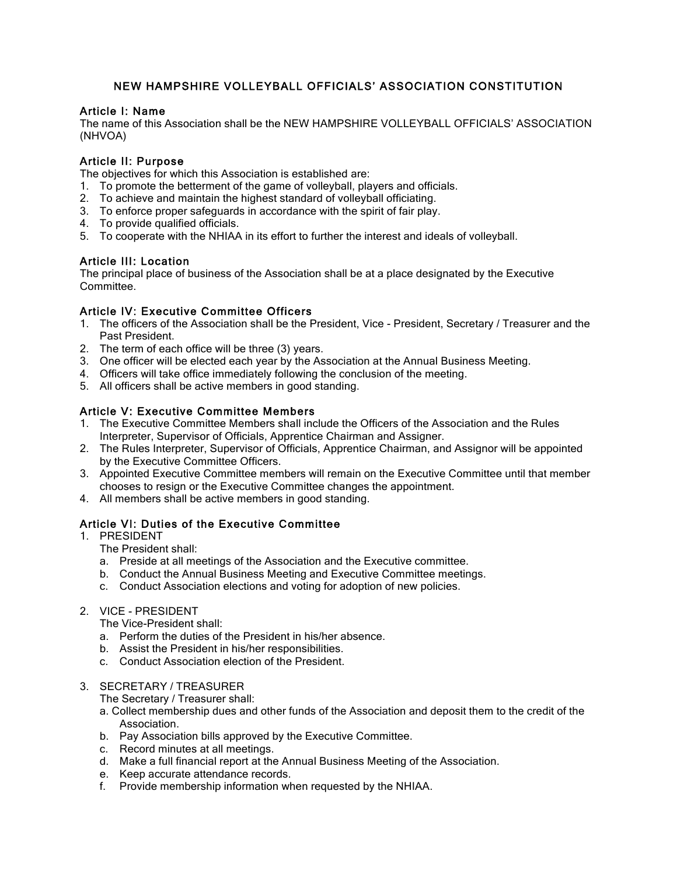# NEW HAMPSHIRE VOLLEYBALL OFFICIALS' ASSOCIATION CONSTITUTION

#### Article I: Name

The name of this Association shall be the NEW HAMPSHIRE VOLLEYBALL OFFICIALS' ASSOCIATION (NHVOA)

## Article II: Purpose

The objectives for which this Association is established are:

- 1. To promote the betterment of the game of volleyball, players and officials.
- 2. To achieve and maintain the highest standard of volleyball officiating.
- 3. To enforce proper safeguards in accordance with the spirit of fair play.
- 4. To provide qualified officials.
- 5. To cooperate with the NHIAA in its effort to further the interest and ideals of volleyball.

## Article III: Location

The principal place of business of the Association shall be at a place designated by the Executive Committee.

#### Article IV: Executive Committee Officers

- 1. The officers of the Association shall be the President, Vice President, Secretary / Treasurer and the Past President.
- 2. The term of each office will be three (3) years.
- 3. One officer will be elected each year by the Association at the Annual Business Meeting.
- 4. Officers will take office immediately following the conclusion of the meeting.
- 5. All officers shall be active members in good standing.

## Article V: Executive Committee Members

- 1. The Executive Committee Members shall include the Officers of the Association and the Rules Interpreter, Supervisor of Officials, Apprentice Chairman and Assigner.
- 2. The Rules Interpreter, Supervisor of Officials, Apprentice Chairman, and Assignor will be appointed by the Executive Committee Officers.
- 3. Appointed Executive Committee members will remain on the Executive Committee until that member chooses to resign or the Executive Committee changes the appointment.
- 4. All members shall be active members in good standing.

# Article VI: Duties of the Executive Committee

- 1. PRESIDENT
	- The President shall:
	- a. Preside at all meetings of the Association and the Executive committee.
	- b. Conduct the Annual Business Meeting and Executive Committee meetings.
	- c. Conduct Association elections and voting for adoption of new policies.
- 2. VICE PRESIDENT

The Vice-President shall:

- a. Perform the duties of the President in his/her absence.
- b. Assist the President in his/her responsibilities.
- c. Conduct Association election of the President.
- 3. SECRETARY / TREASURER

The Secretary / Treasurer shall:

- a. Collect membership dues and other funds of the Association and deposit them to the credit of the Association.
- b. Pay Association bills approved by the Executive Committee.
- c. Record minutes at all meetings.
- d. Make a full financial report at the Annual Business Meeting of the Association.
- e. Keep accurate attendance records.
- f. Provide membership information when requested by the NHIAA.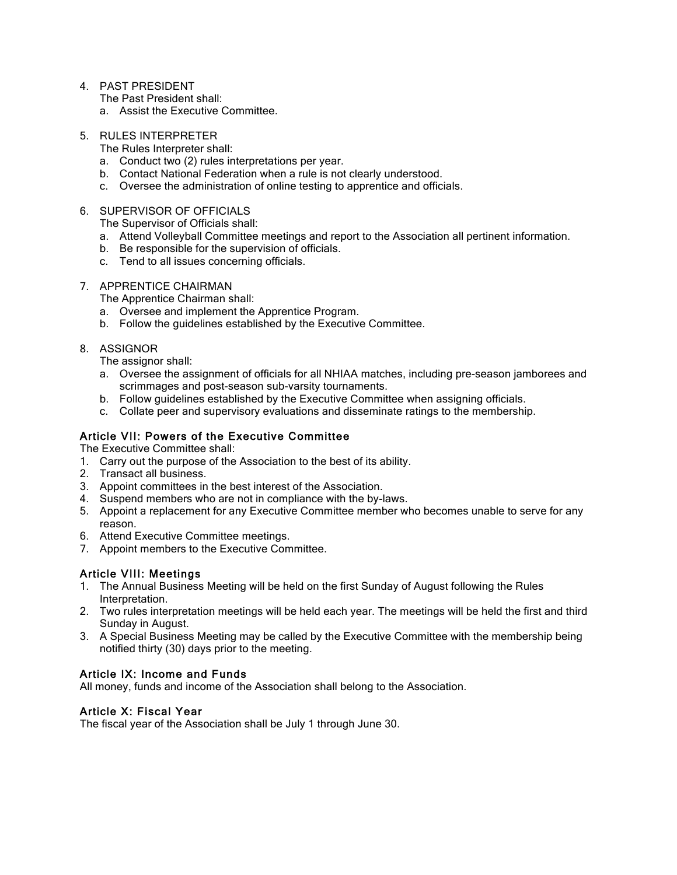4. PAST PRESIDENT

The Past President shall:

- a. Assist the Executive Committee.
- 5. RULES INTERPRETER

The Rules Interpreter shall:

- a. Conduct two (2) rules interpretations per year.
- b. Contact National Federation when a rule is not clearly understood.
- c. Oversee the administration of online testing to apprentice and officials.

#### 6. SUPERVISOR OF OFFICIALS

The Supervisor of Officials shall:

- a. Attend Volleyball Committee meetings and report to the Association all pertinent information.
- b. Be responsible for the supervision of officials.
- c. Tend to all issues concerning officials.

#### 7. APPRENTICE CHAIRMAN

The Apprentice Chairman shall:

- a. Oversee and implement the Apprentice Program.
- b. Follow the guidelines established by the Executive Committee.

### 8. ASSIGNOR

The assignor shall:

- a. Oversee the assignment of officials for all NHIAA matches, including pre-season jamborees and scrimmages and post-season sub-varsity tournaments.
- b. Follow guidelines established by the Executive Committee when assigning officials.
- c. Collate peer and supervisory evaluations and disseminate ratings to the membership.

## Article VII: Powers of the Executive Committee

The Executive Committee shall:

- 1. Carry out the purpose of the Association to the best of its ability.
- 2. Transact all business.
- 3. Appoint committees in the best interest of the Association.
- 4. Suspend members who are not in compliance with the by-laws.
- 5. Appoint a replacement for any Executive Committee member who becomes unable to serve for any reason.
- 6. Attend Executive Committee meetings.
- 7. Appoint members to the Executive Committee.

# Article VIII: Meetings

- 1. The Annual Business Meeting will be held on the first Sunday of August following the Rules Interpretation.
- 2. Two rules interpretation meetings will be held each year. The meetings will be held the first and third Sunday in August.
- 3. A Special Business Meeting may be called by the Executive Committee with the membership being notified thirty (30) days prior to the meeting.

## Article IX: Income and Funds

All money, funds and income of the Association shall belong to the Association.

## Article X: Fiscal Year

The fiscal year of the Association shall be July 1 through June 30.